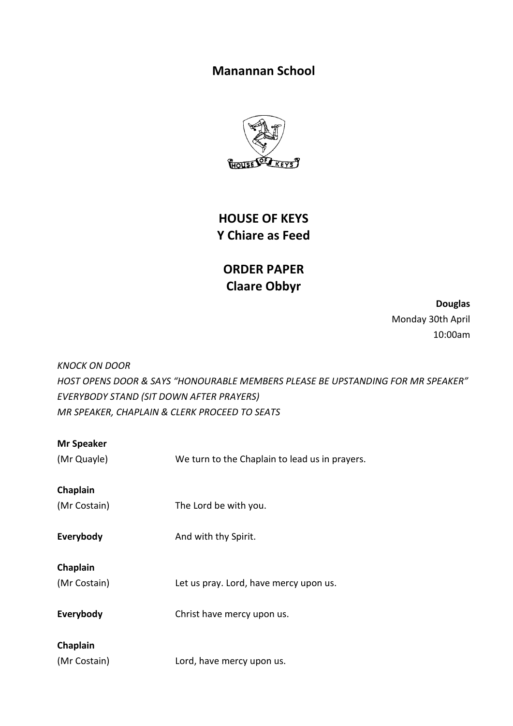# **Manannan School**



**HOUSE OF KEYS Y Chiare as Feed**

# **ORDER PAPER Claare Obbyr**

**Douglas** Monday 30th April 10:00am

*KNOCK ON DOOR HOST OPENS DOOR & SAYS "HONOURABLE MEMBERS PLEASE BE UPSTANDING FOR MR SPEAKER" EVERYBODY STAND (SIT DOWN AFTER PRAYERS) MR SPEAKER, CHAPLAIN & CLERK PROCEED TO SEATS*

| <b>Mr Speaker</b> |                                                |
|-------------------|------------------------------------------------|
| (Mr Quayle)       | We turn to the Chaplain to lead us in prayers. |
| Chaplain          |                                                |
| (Mr Costain)      | The Lord be with you.                          |
| Everybody         | And with thy Spirit.                           |
| Chaplain          |                                                |
| (Mr Costain)      | Let us pray. Lord, have mercy upon us.         |
| Everybody         | Christ have mercy upon us.                     |
| Chaplain          |                                                |
| (Mr Costain)      | Lord, have mercy upon us.                      |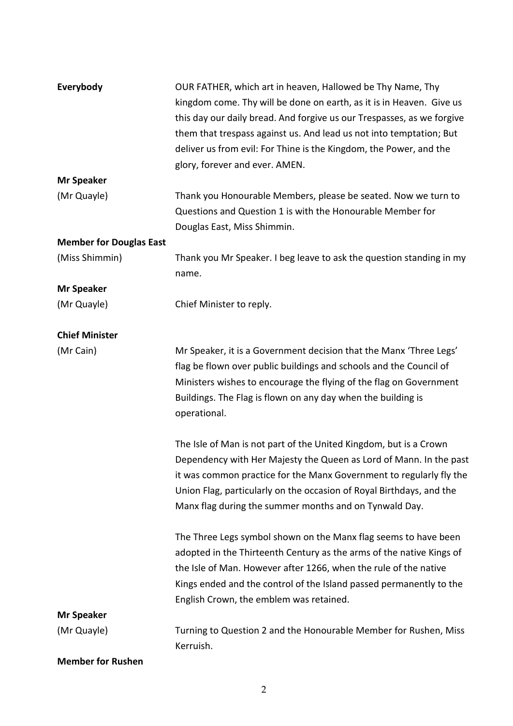| Everybody                      | OUR FATHER, which art in heaven, Hallowed be Thy Name, Thy             |
|--------------------------------|------------------------------------------------------------------------|
|                                | kingdom come. Thy will be done on earth, as it is in Heaven. Give us   |
|                                | this day our daily bread. And forgive us our Trespasses, as we forgive |
|                                | them that trespass against us. And lead us not into temptation; But    |
|                                | deliver us from evil: For Thine is the Kingdom, the Power, and the     |
|                                | glory, forever and ever. AMEN.                                         |
| <b>Mr Speaker</b>              |                                                                        |
| (Mr Quayle)                    | Thank you Honourable Members, please be seated. Now we turn to         |
|                                | Questions and Question 1 is with the Honourable Member for             |
|                                | Douglas East, Miss Shimmin.                                            |
| <b>Member for Douglas East</b> |                                                                        |
| (Miss Shimmin)                 | Thank you Mr Speaker. I beg leave to ask the question standing in my   |
|                                | name.                                                                  |
| <b>Mr Speaker</b>              |                                                                        |
| (Mr Quayle)                    | Chief Minister to reply.                                               |
|                                |                                                                        |
| <b>Chief Minister</b>          |                                                                        |
| (Mr Cain)                      | Mr Speaker, it is a Government decision that the Manx 'Three Legs'     |
|                                | flag be flown over public buildings and schools and the Council of     |
|                                | Ministers wishes to encourage the flying of the flag on Government     |
|                                | Buildings. The Flag is flown on any day when the building is           |
|                                | operational.                                                           |
|                                |                                                                        |
|                                | The Isle of Man is not part of the United Kingdom, but is a Crown      |
|                                | Dependency with Her Majesty the Queen as Lord of Mann. In the past     |
|                                | it was common practice for the Manx Government to regularly fly the    |
|                                | Union Flag, particularly on the occasion of Royal Birthdays, and the   |
|                                | Manx flag during the summer months and on Tynwald Day.                 |
|                                |                                                                        |
|                                | The Three Legs symbol shown on the Manx flag seems to have been        |
|                                | adopted in the Thirteenth Century as the arms of the native Kings of   |
|                                | the Isle of Man. However after 1266, when the rule of the native       |
|                                | Kings ended and the control of the Island passed permanently to the    |
|                                | English Crown, the emblem was retained.                                |
| <b>Mr Speaker</b>              |                                                                        |
| (Mr Quayle)                    | Turning to Question 2 and the Honourable Member for Rushen, Miss       |
|                                | Kerruish.                                                              |
| <b>Member for Rushen</b>       |                                                                        |

2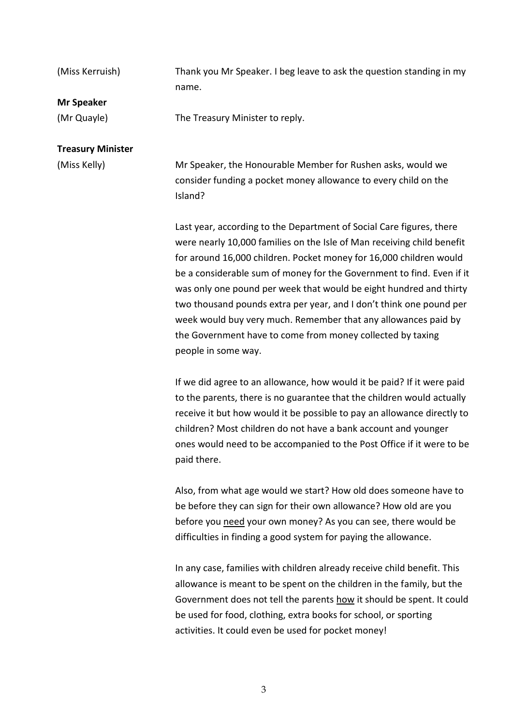| (Miss Kerruish)          | Thank you Mr Speaker. I beg leave to ask the question standing in my                                                                                                                                                 |
|--------------------------|----------------------------------------------------------------------------------------------------------------------------------------------------------------------------------------------------------------------|
|                          | name.                                                                                                                                                                                                                |
| <b>Mr Speaker</b>        |                                                                                                                                                                                                                      |
| (Mr Quayle)              | The Treasury Minister to reply.                                                                                                                                                                                      |
| <b>Treasury Minister</b> |                                                                                                                                                                                                                      |
| (Miss Kelly)             | Mr Speaker, the Honourable Member for Rushen asks, would we<br>consider funding a pocket money allowance to every child on the<br>Island?                                                                            |
|                          | Last year, according to the Department of Social Care figures, there<br>were nearly 10,000 families on the Isle of Man receiving child benefit<br>for around 16,000 children. Pocket money for 16,000 children would |

for around 16,000 children. Pocket money for 16,000 children would be a considerable sum of money for the Government to find. Even if it was only one pound per week that would be eight hundred and thirty two thousand pounds extra per year, and I don't think one pound per week would buy very much. Remember that any allowances paid by the Government have to come from money collected by taxing people in some way.

If we did agree to an allowance, how would it be paid? If it were paid to the parents, there is no guarantee that the children would actually receive it but how would it be possible to pay an allowance directly to children? Most children do not have a bank account and younger ones would need to be accompanied to the Post Office if it were to be paid there.

Also, from what age would we start? How old does someone have to be before they can sign for their own allowance? How old are you before you need your own money? As you can see, there would be difficulties in finding a good system for paying the allowance.

In any case, families with children already receive child benefit. This allowance is meant to be spent on the children in the family, but the Government does not tell the parents how it should be spent. It could be used for food, clothing, extra books for school, or sporting activities. It could even be used for pocket money!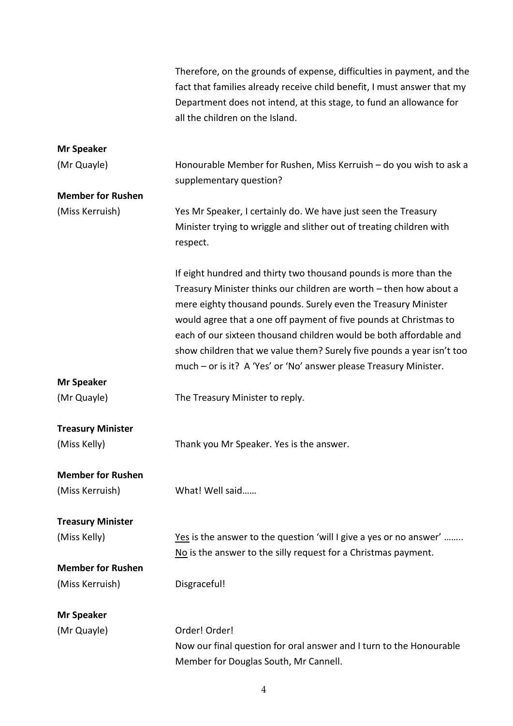|                                          | Therefore, on the grounds of expense, difficulties in payment, and the                                                                                                                                                                                                                                                                                                                                                                                                                            |
|------------------------------------------|---------------------------------------------------------------------------------------------------------------------------------------------------------------------------------------------------------------------------------------------------------------------------------------------------------------------------------------------------------------------------------------------------------------------------------------------------------------------------------------------------|
|                                          | fact that families already receive child benefit, I must answer that my<br>Department does not intend, at this stage, to fund an allowance for                                                                                                                                                                                                                                                                                                                                                    |
|                                          | all the children on the Island.                                                                                                                                                                                                                                                                                                                                                                                                                                                                   |
| <b>Mr Speaker</b>                        |                                                                                                                                                                                                                                                                                                                                                                                                                                                                                                   |
| (Mr Quayle)                              | Honourable Member for Rushen, Miss Kerruish - do you wish to ask a<br>supplementary question?                                                                                                                                                                                                                                                                                                                                                                                                     |
| <b>Member for Rushen</b>                 |                                                                                                                                                                                                                                                                                                                                                                                                                                                                                                   |
| (Miss Kerruish)                          | Yes Mr Speaker, I certainly do. We have just seen the Treasury<br>Minister trying to wriggle and slither out of treating children with<br>respect.                                                                                                                                                                                                                                                                                                                                                |
|                                          | If eight hundred and thirty two thousand pounds is more than the<br>Treasury Minister thinks our children are worth - then how about a<br>mere eighty thousand pounds. Surely even the Treasury Minister<br>would agree that a one off payment of five pounds at Christmas to<br>each of our sixteen thousand children would be both affordable and<br>show children that we value them? Surely five pounds a year isn't too<br>much - or is it? A 'Yes' or 'No' answer please Treasury Minister. |
| <b>Mr Speaker</b>                        |                                                                                                                                                                                                                                                                                                                                                                                                                                                                                                   |
| (Mr Quayle)                              | The Treasury Minister to reply.                                                                                                                                                                                                                                                                                                                                                                                                                                                                   |
|                                          |                                                                                                                                                                                                                                                                                                                                                                                                                                                                                                   |
| <b>Treasury Minister</b><br>(Miss Kelly) | Thank you Mr Speaker. Yes is the answer.                                                                                                                                                                                                                                                                                                                                                                                                                                                          |
| <b>Member for Rushen</b>                 |                                                                                                                                                                                                                                                                                                                                                                                                                                                                                                   |
| (Miss Kerruish)                          | What! Well said                                                                                                                                                                                                                                                                                                                                                                                                                                                                                   |
| <b>Treasury Minister</b>                 |                                                                                                                                                                                                                                                                                                                                                                                                                                                                                                   |
| (Miss Kelly)                             | Yes is the answer to the question 'will I give a yes or no answer'                                                                                                                                                                                                                                                                                                                                                                                                                                |
|                                          | $N0$ is the answer to the silly request for a Christmas payment.                                                                                                                                                                                                                                                                                                                                                                                                                                  |
| <b>Member for Rushen</b>                 |                                                                                                                                                                                                                                                                                                                                                                                                                                                                                                   |
| (Miss Kerruish)                          | Disgraceful!                                                                                                                                                                                                                                                                                                                                                                                                                                                                                      |
| <b>Mr Speaker</b>                        |                                                                                                                                                                                                                                                                                                                                                                                                                                                                                                   |
| (Mr Quayle)                              | Order! Order!                                                                                                                                                                                                                                                                                                                                                                                                                                                                                     |
|                                          | Now our final question for oral answer and I turn to the Honourable<br>Member for Douglas South, Mr Cannell.                                                                                                                                                                                                                                                                                                                                                                                      |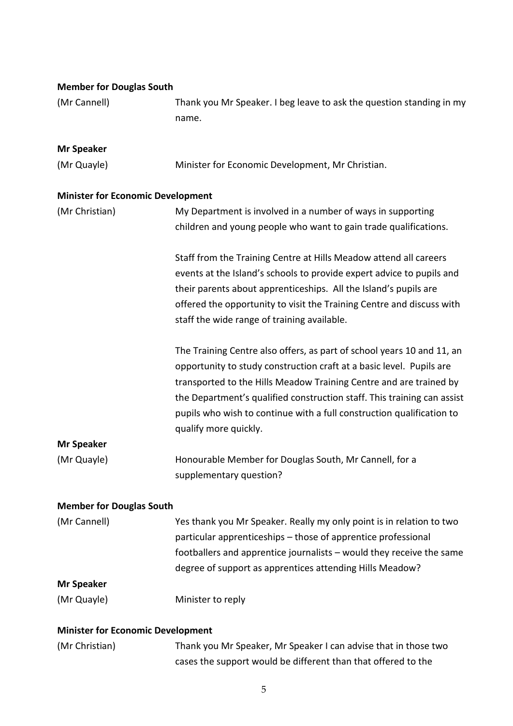| <b>Member for Douglas South</b>          |                                                                                                                                                                                                                                                                                                                                                                                                   |
|------------------------------------------|---------------------------------------------------------------------------------------------------------------------------------------------------------------------------------------------------------------------------------------------------------------------------------------------------------------------------------------------------------------------------------------------------|
| (Mr Cannell)                             | Thank you Mr Speaker. I beg leave to ask the question standing in my                                                                                                                                                                                                                                                                                                                              |
|                                          | name.                                                                                                                                                                                                                                                                                                                                                                                             |
|                                          |                                                                                                                                                                                                                                                                                                                                                                                                   |
| <b>Mr Speaker</b>                        |                                                                                                                                                                                                                                                                                                                                                                                                   |
| (Mr Quayle)                              | Minister for Economic Development, Mr Christian.                                                                                                                                                                                                                                                                                                                                                  |
| <b>Minister for Economic Development</b> |                                                                                                                                                                                                                                                                                                                                                                                                   |
| (Mr Christian)                           | My Department is involved in a number of ways in supporting                                                                                                                                                                                                                                                                                                                                       |
|                                          | children and young people who want to gain trade qualifications.                                                                                                                                                                                                                                                                                                                                  |
|                                          | Staff from the Training Centre at Hills Meadow attend all careers<br>events at the Island's schools to provide expert advice to pupils and<br>their parents about apprenticeships. All the Island's pupils are<br>offered the opportunity to visit the Training Centre and discuss with<br>staff the wide range of training available.                                                            |
|                                          | The Training Centre also offers, as part of school years 10 and 11, an<br>opportunity to study construction craft at a basic level. Pupils are<br>transported to the Hills Meadow Training Centre and are trained by<br>the Department's qualified construction staff. This training can assist<br>pupils who wish to continue with a full construction qualification to<br>qualify more quickly. |
| <b>Mr Speaker</b>                        |                                                                                                                                                                                                                                                                                                                                                                                                   |
| (Mr Quayle)                              | Honourable Member for Douglas South, Mr Cannell, for a<br>supplementary question?                                                                                                                                                                                                                                                                                                                 |
| <b>Member for Douglas South</b>          |                                                                                                                                                                                                                                                                                                                                                                                                   |
| (Mr Cannell)                             | Yes thank you Mr Speaker. Really my only point is in relation to two                                                                                                                                                                                                                                                                                                                              |
|                                          | particular apprenticeships - those of apprentice professional                                                                                                                                                                                                                                                                                                                                     |
|                                          | footballers and apprentice journalists - would they receive the same                                                                                                                                                                                                                                                                                                                              |
|                                          | degree of support as apprentices attending Hills Meadow?                                                                                                                                                                                                                                                                                                                                          |
| <b>Mr Speaker</b>                        |                                                                                                                                                                                                                                                                                                                                                                                                   |
| (Mr Quayle)                              | Minister to reply                                                                                                                                                                                                                                                                                                                                                                                 |
| <b>Minister for Economic Development</b> |                                                                                                                                                                                                                                                                                                                                                                                                   |
| (Mr Christian)                           | Thank you Mr Speaker, Mr Speaker I can advise that in those two                                                                                                                                                                                                                                                                                                                                   |
|                                          | cases the support would be different than that offered to the                                                                                                                                                                                                                                                                                                                                     |

# 5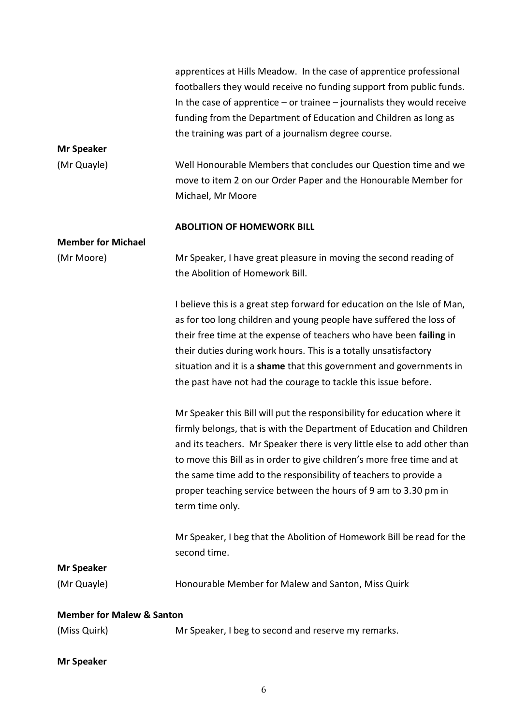|                                      | apprentices at Hills Meadow. In the case of apprentice professional         |
|--------------------------------------|-----------------------------------------------------------------------------|
|                                      | footballers they would receive no funding support from public funds.        |
|                                      | In the case of apprentice $-$ or trainee $-$ journalists they would receive |
|                                      | funding from the Department of Education and Children as long as            |
|                                      | the training was part of a journalism degree course.                        |
| <b>Mr Speaker</b>                    |                                                                             |
| (Mr Quayle)                          | Well Honourable Members that concludes our Question time and we             |
|                                      | move to item 2 on our Order Paper and the Honourable Member for             |
|                                      | Michael, Mr Moore                                                           |
|                                      |                                                                             |
|                                      | <b>ABOLITION OF HOMEWORK BILL</b>                                           |
| <b>Member for Michael</b>            |                                                                             |
| (Mr Moore)                           | Mr Speaker, I have great pleasure in moving the second reading of           |
|                                      | the Abolition of Homework Bill.                                             |
|                                      |                                                                             |
|                                      | I believe this is a great step forward for education on the Isle of Man,    |
|                                      | as for too long children and young people have suffered the loss of         |
|                                      | their free time at the expense of teachers who have been failing in         |
|                                      | their duties during work hours. This is a totally unsatisfactory            |
|                                      | situation and it is a shame that this government and governments in         |
|                                      | the past have not had the courage to tackle this issue before.              |
|                                      |                                                                             |
|                                      | Mr Speaker this Bill will put the responsibility for education where it     |
|                                      | firmly belongs, that is with the Department of Education and Children       |
|                                      | and its teachers. Mr Speaker there is very little else to add other than    |
|                                      | to move this Bill as in order to give children's more free time and at      |
|                                      | the same time add to the responsibility of teachers to provide a            |
|                                      | proper teaching service between the hours of 9 am to 3.30 pm in             |
|                                      | term time only.                                                             |
|                                      |                                                                             |
|                                      | Mr Speaker, I beg that the Abolition of Homework Bill be read for the       |
|                                      | second time.                                                                |
| <b>Mr Speaker</b>                    |                                                                             |
| (Mr Quayle)                          | Honourable Member for Malew and Santon, Miss Quirk                          |
|                                      |                                                                             |
| <b>Member for Malew &amp; Santon</b> |                                                                             |
| (Miss Quirk)                         | Mr Speaker, I beg to second and reserve my remarks.                         |
|                                      |                                                                             |

# **Mr Speaker**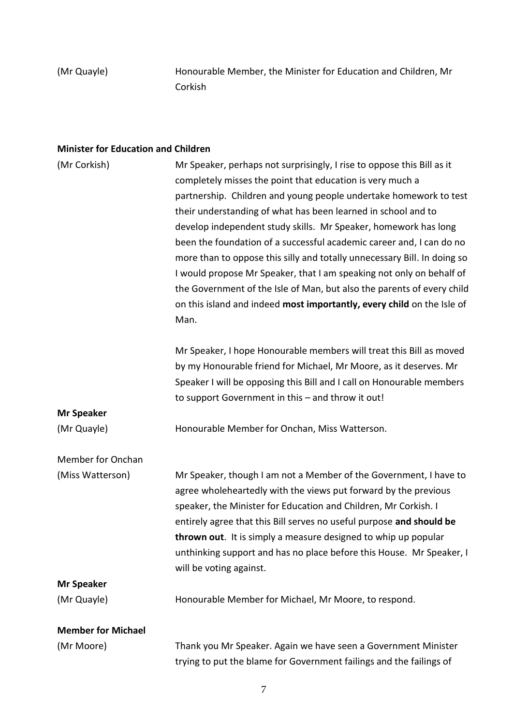(Mr Quayle) Honourable Member, the Minister for Education and Children, Mr Corkish

## **Minister for Education and Children**

| (Mr Corkish)              | Mr Speaker, perhaps not surprisingly, I rise to oppose this Bill as it   |
|---------------------------|--------------------------------------------------------------------------|
|                           | completely misses the point that education is very much a                |
|                           | partnership. Children and young people undertake homework to test        |
|                           | their understanding of what has been learned in school and to            |
|                           | develop independent study skills. Mr Speaker, homework has long          |
|                           | been the foundation of a successful academic career and, I can do no     |
|                           | more than to oppose this silly and totally unnecessary Bill. In doing so |
|                           | I would propose Mr Speaker, that I am speaking not only on behalf of     |
|                           | the Government of the Isle of Man, but also the parents of every child   |
|                           | on this island and indeed most importantly, every child on the Isle of   |
|                           | Man.                                                                     |
|                           | Mr Speaker, I hope Honourable members will treat this Bill as moved      |
|                           | by my Honourable friend for Michael, Mr Moore, as it deserves. Mr        |
|                           | Speaker I will be opposing this Bill and I call on Honourable members    |
|                           | to support Government in this - and throw it out!                        |
| <b>Mr Speaker</b>         |                                                                          |
| (Mr Quayle)               | Honourable Member for Onchan, Miss Watterson.                            |
| Member for Onchan         |                                                                          |
| (Miss Watterson)          | Mr Speaker, though I am not a Member of the Government, I have to        |
|                           | agree wholeheartedly with the views put forward by the previous          |
|                           | speaker, the Minister for Education and Children, Mr Corkish. I          |
|                           | entirely agree that this Bill serves no useful purpose and should be     |
|                           | thrown out. It is simply a measure designed to whip up popular           |
|                           | unthinking support and has no place before this House. Mr Speaker, I     |
|                           | will be voting against.                                                  |
| <b>Mr Speaker</b>         |                                                                          |
| (Mr Quayle)               | Honourable Member for Michael, Mr Moore, to respond.                     |
| <b>Member for Michael</b> |                                                                          |
| (Mr Moore)                | Thank you Mr Speaker. Again we have seen a Government Minister           |
|                           | trying to put the blame for Government failings and the failings of      |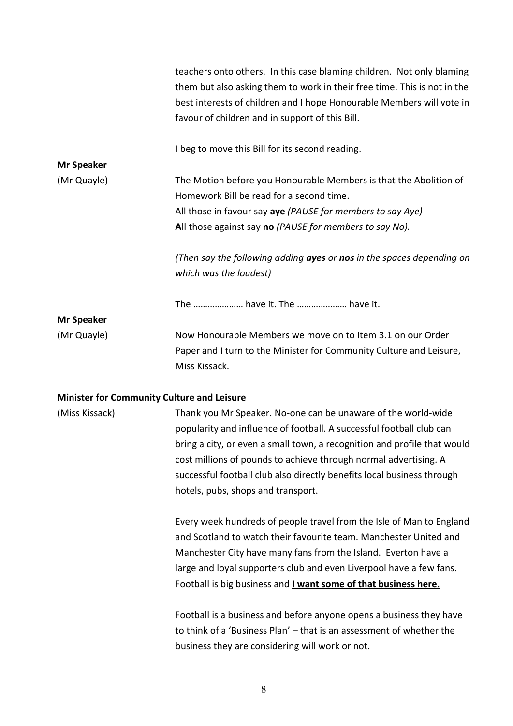|                                                   | teachers onto others. In this case blaming children. Not only blaming<br>them but also asking them to work in their free time. This is not in the<br>best interests of children and I hope Honourable Members will vote in<br>favour of children and in support of this Bill. |
|---------------------------------------------------|-------------------------------------------------------------------------------------------------------------------------------------------------------------------------------------------------------------------------------------------------------------------------------|
|                                                   | I beg to move this Bill for its second reading.                                                                                                                                                                                                                               |
| <b>Mr Speaker</b>                                 |                                                                                                                                                                                                                                                                               |
| (Mr Quayle)                                       | The Motion before you Honourable Members is that the Abolition of                                                                                                                                                                                                             |
|                                                   | Homework Bill be read for a second time.                                                                                                                                                                                                                                      |
|                                                   | All those in favour say aye (PAUSE for members to say Aye)                                                                                                                                                                                                                    |
|                                                   | All those against say no (PAUSE for members to say No).                                                                                                                                                                                                                       |
|                                                   | (Then say the following adding ayes or nos in the spaces depending on                                                                                                                                                                                                         |
|                                                   | which was the loudest)                                                                                                                                                                                                                                                        |
|                                                   | The  have it. The  have it.                                                                                                                                                                                                                                                   |
| <b>Mr Speaker</b>                                 |                                                                                                                                                                                                                                                                               |
| (Mr Quayle)                                       | Now Honourable Members we move on to Item 3.1 on our Order                                                                                                                                                                                                                    |
|                                                   | Paper and I turn to the Minister for Community Culture and Leisure,                                                                                                                                                                                                           |
|                                                   | Miss Kissack.                                                                                                                                                                                                                                                                 |
| <b>Minister for Community Culture and Leisure</b> |                                                                                                                                                                                                                                                                               |
| (Miss Kissack)                                    | Thank you Mr Speaker. No-one can be unaware of the world-wide                                                                                                                                                                                                                 |
|                                                   | popularity and influence of football. A successful football club can                                                                                                                                                                                                          |
|                                                   | bring a city, or even a small town, a recognition and profile that would                                                                                                                                                                                                      |
|                                                   | cost millions of pounds to achieve through normal advertising. A                                                                                                                                                                                                              |
|                                                   | successful football club also directly benefits local business through                                                                                                                                                                                                        |
|                                                   | hotels, pubs, shops and transport.                                                                                                                                                                                                                                            |
|                                                   | Every week hundreds of people travel from the Isle of Man to England                                                                                                                                                                                                          |
|                                                   | and Scotland to watch their favourite team. Manchester United and                                                                                                                                                                                                             |
|                                                   | Manchester City have many fans from the Island. Everton have a                                                                                                                                                                                                                |
|                                                   | large and loyal supporters club and even Liverpool have a few fans.                                                                                                                                                                                                           |
|                                                   | Football is big business and I want some of that business here.                                                                                                                                                                                                               |
|                                                   | Football is a business and before anyone opens a business they have                                                                                                                                                                                                           |
|                                                   | to think of a 'Business Plan' - that is an assessment of whether the                                                                                                                                                                                                          |
|                                                   | business they are considering will work or not.                                                                                                                                                                                                                               |
|                                                   |                                                                                                                                                                                                                                                                               |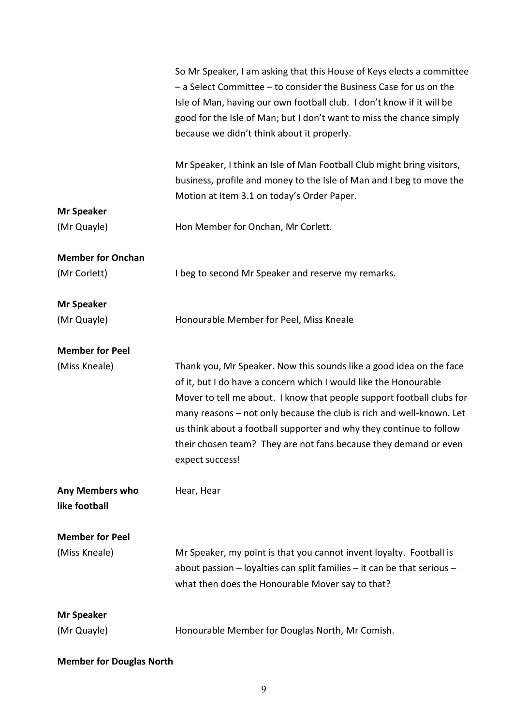|                                         | So Mr Speaker, I am asking that this House of Keys elects a committee                                                                                                                                                                                                                                                                                                                                                                                  |
|-----------------------------------------|--------------------------------------------------------------------------------------------------------------------------------------------------------------------------------------------------------------------------------------------------------------------------------------------------------------------------------------------------------------------------------------------------------------------------------------------------------|
|                                         | - a Select Committee - to consider the Business Case for us on the                                                                                                                                                                                                                                                                                                                                                                                     |
|                                         | Isle of Man, having our own football club. I don't know if it will be                                                                                                                                                                                                                                                                                                                                                                                  |
|                                         | good for the Isle of Man; but I don't want to miss the chance simply                                                                                                                                                                                                                                                                                                                                                                                   |
|                                         | because we didn't think about it properly.                                                                                                                                                                                                                                                                                                                                                                                                             |
|                                         |                                                                                                                                                                                                                                                                                                                                                                                                                                                        |
|                                         | Mr Speaker, I think an Isle of Man Football Club might bring visitors,                                                                                                                                                                                                                                                                                                                                                                                 |
|                                         | business, profile and money to the Isle of Man and I beg to move the                                                                                                                                                                                                                                                                                                                                                                                   |
|                                         | Motion at Item 3.1 on today's Order Paper.                                                                                                                                                                                                                                                                                                                                                                                                             |
| <b>Mr Speaker</b>                       |                                                                                                                                                                                                                                                                                                                                                                                                                                                        |
| (Mr Quayle)                             | Hon Member for Onchan, Mr Corlett.                                                                                                                                                                                                                                                                                                                                                                                                                     |
| <b>Member for Onchan</b>                |                                                                                                                                                                                                                                                                                                                                                                                                                                                        |
| (Mr Corlett)                            | I beg to second Mr Speaker and reserve my remarks.                                                                                                                                                                                                                                                                                                                                                                                                     |
|                                         |                                                                                                                                                                                                                                                                                                                                                                                                                                                        |
| <b>Mr Speaker</b>                       |                                                                                                                                                                                                                                                                                                                                                                                                                                                        |
| (Mr Quayle)                             | Honourable Member for Peel, Miss Kneale                                                                                                                                                                                                                                                                                                                                                                                                                |
| <b>Member for Peel</b>                  |                                                                                                                                                                                                                                                                                                                                                                                                                                                        |
| (Miss Kneale)                           | Thank you, Mr Speaker. Now this sounds like a good idea on the face<br>of it, but I do have a concern which I would like the Honourable<br>Mover to tell me about. I know that people support football clubs for<br>many reasons - not only because the club is rich and well-known. Let<br>us think about a football supporter and why they continue to follow<br>their chosen team? They are not fans because they demand or even<br>expect success! |
| <b>Any Members who</b><br>like football | Hear, Hear                                                                                                                                                                                                                                                                                                                                                                                                                                             |
| <b>Member for Peel</b>                  |                                                                                                                                                                                                                                                                                                                                                                                                                                                        |
| (Miss Kneale)                           | Mr Speaker, my point is that you cannot invent loyalty. Football is                                                                                                                                                                                                                                                                                                                                                                                    |
|                                         | about passion - loyalties can split families - it can be that serious -                                                                                                                                                                                                                                                                                                                                                                                |
|                                         | what then does the Honourable Mover say to that?                                                                                                                                                                                                                                                                                                                                                                                                       |
|                                         |                                                                                                                                                                                                                                                                                                                                                                                                                                                        |
|                                         |                                                                                                                                                                                                                                                                                                                                                                                                                                                        |
| <b>Mr Speaker</b><br>(Mr Quayle)        | Honourable Member for Douglas North, Mr Comish.                                                                                                                                                                                                                                                                                                                                                                                                        |

# **Member for Douglas North**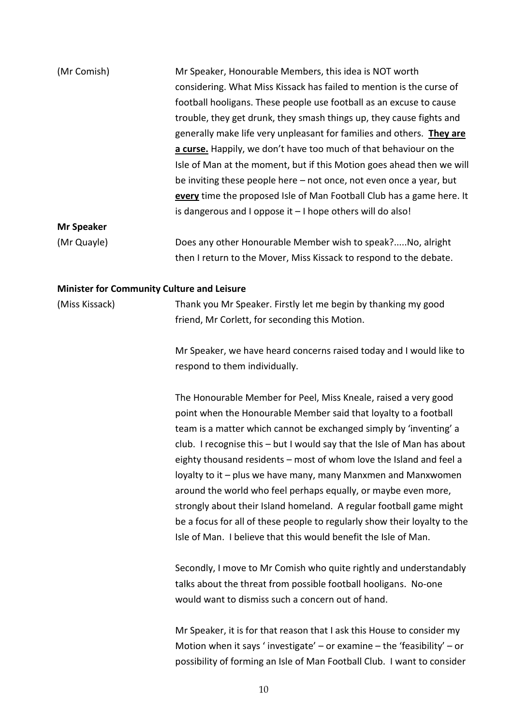| (Mr Comish)                                       | Mr Speaker, Honourable Members, this idea is NOT worth                    |
|---------------------------------------------------|---------------------------------------------------------------------------|
|                                                   | considering. What Miss Kissack has failed to mention is the curse of      |
|                                                   | football hooligans. These people use football as an excuse to cause       |
|                                                   | trouble, they get drunk, they smash things up, they cause fights and      |
|                                                   | generally make life very unpleasant for families and others. They are     |
|                                                   | a curse. Happily, we don't have too much of that behaviour on the         |
|                                                   | Isle of Man at the moment, but if this Motion goes ahead then we will     |
|                                                   | be inviting these people here - not once, not even once a year, but       |
|                                                   | every time the proposed Isle of Man Football Club has a game here. It     |
|                                                   | is dangerous and I oppose it $-1$ hope others will do also!               |
| <b>Mr Speaker</b>                                 |                                                                           |
| (Mr Quayle)                                       | Does any other Honourable Member wish to speak?No, alright                |
|                                                   | then I return to the Mover, Miss Kissack to respond to the debate.        |
| <b>Minister for Community Culture and Leisure</b> |                                                                           |
| (Miss Kissack)                                    | Thank you Mr Speaker. Firstly let me begin by thanking my good            |
|                                                   | friend, Mr Corlett, for seconding this Motion.                            |
|                                                   | Mr Speaker, we have heard concerns raised today and I would like to       |
|                                                   | respond to them individually.                                             |
|                                                   | The Honourable Member for Peel, Miss Kneale, raised a very good           |
|                                                   | point when the Honourable Member said that loyalty to a football          |
|                                                   | team is a matter which cannot be exchanged simply by 'inventing' a        |
|                                                   | club. I recognise this - but I would say that the Isle of Man has about   |
|                                                   | eighty thousand residents – most of whom love the Island and feel a       |
|                                                   | loyalty to it - plus we have many, many Manxmen and Manxwomen             |
|                                                   | around the world who feel perhaps equally, or maybe even more,            |
|                                                   | strongly about their Island homeland. A regular football game might       |
|                                                   | be a focus for all of these people to regularly show their loyalty to the |
|                                                   | Isle of Man. I believe that this would benefit the Isle of Man.           |
|                                                   | Secondly, I move to Mr Comish who quite rightly and understandably        |
|                                                   | talks about the threat from possible football hooligans. No-one           |
|                                                   | would want to dismiss such a concern out of hand.                         |
|                                                   | Mr Speaker, it is for that reason that I ask this House to consider my    |
|                                                   | Motion when it says 'investigate' - or examine - the 'feasibility' - or   |
|                                                   | possibility of forming an Isle of Man Football Club. I want to consider   |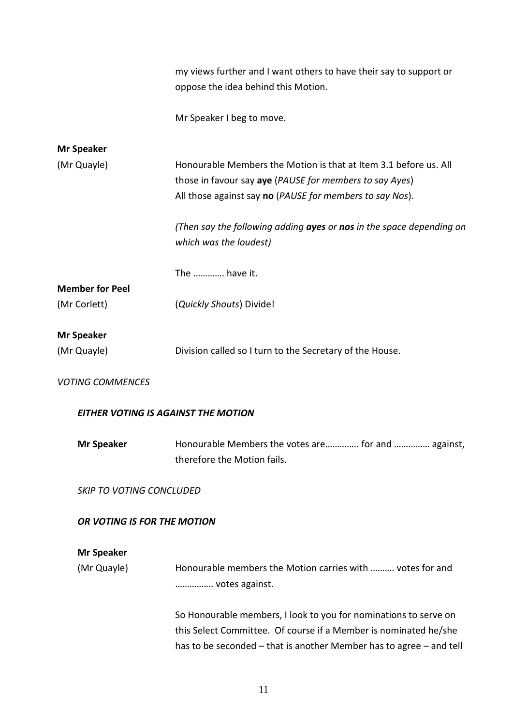|                                            | my views further and I want others to have their say to support or<br>oppose the idea behind this Motion.                                                                                                   |  |
|--------------------------------------------|-------------------------------------------------------------------------------------------------------------------------------------------------------------------------------------------------------------|--|
|                                            | Mr Speaker I beg to move.                                                                                                                                                                                   |  |
| <b>Mr Speaker</b><br>(Mr Quayle)           | Honourable Members the Motion is that at Item 3.1 before us. All                                                                                                                                            |  |
|                                            | those in favour say aye (PAUSE for members to say Ayes)                                                                                                                                                     |  |
|                                            | All those against say no (PAUSE for members to say Nos).                                                                                                                                                    |  |
|                                            | (Then say the following adding ayes or nos in the space depending on<br>which was the loudest)                                                                                                              |  |
|                                            | The  have it.                                                                                                                                                                                               |  |
| <b>Member for Peel</b><br>(Mr Corlett)     | (Quickly Shouts) Divide!                                                                                                                                                                                    |  |
| <b>Mr Speaker</b>                          |                                                                                                                                                                                                             |  |
| (Mr Quayle)                                | Division called so I turn to the Secretary of the House.                                                                                                                                                    |  |
| <b>VOTING COMMENCES</b>                    |                                                                                                                                                                                                             |  |
| <b>EITHER VOTING IS AGAINST THE MOTION</b> |                                                                                                                                                                                                             |  |
| <b>Mr Speaker</b>                          | Honourable Members the votes are for and  against,<br>therefore the Motion fails.                                                                                                                           |  |
| <b>SKIP TO VOTING CONCLUDED</b>            |                                                                                                                                                                                                             |  |
| OR VOTING IS FOR THE MOTION                |                                                                                                                                                                                                             |  |
| <b>Mr Speaker</b>                          |                                                                                                                                                                                                             |  |
| (Mr Quayle)                                | Honourable members the Motion carries with  votes for and<br>votes against.                                                                                                                                 |  |
|                                            | So Honourable members, I look to you for nominations to serve on<br>this Select Committee. Of course if a Member is nominated he/she<br>has to be seconded – that is another Member has to agree – and tell |  |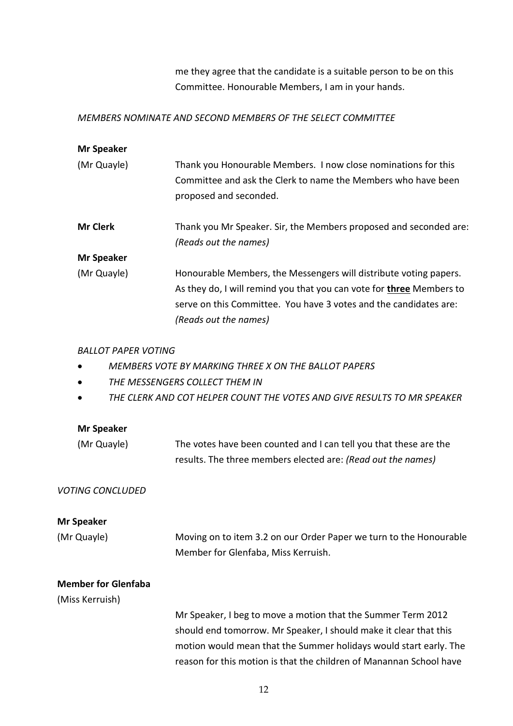me they agree that the candidate is a suitable person to be on this Committee. Honourable Members, I am in your hands.

## *MEMBERS NOMINATE AND SECOND MEMBERS OF THE SELECT COMMITTEE*

| <b>Mr Speaker</b> |                                                                                                                                                                                                                                                |
|-------------------|------------------------------------------------------------------------------------------------------------------------------------------------------------------------------------------------------------------------------------------------|
| (Mr Quayle)       | Thank you Honourable Members. I now close nominations for this<br>Committee and ask the Clerk to name the Members who have been<br>proposed and seconded.                                                                                      |
| <b>Mr Clerk</b>   | Thank you Mr Speaker. Sir, the Members proposed and seconded are:<br>(Reads out the names)                                                                                                                                                     |
| <b>Mr Speaker</b> |                                                                                                                                                                                                                                                |
| (Mr Quayle)       | Honourable Members, the Messengers will distribute voting papers.<br>As they do, I will remind you that you can vote for <b>three</b> Members to<br>serve on this Committee. You have 3 votes and the candidates are:<br>(Reads out the names) |

### *BALLOT PAPER VOTING*

- *MEMBERS VOTE BY MARKING THREE X ON THE BALLOT PAPERS*
- *THE MESSENGERS COLLECT THEM IN*
- *THE CLERK AND COT HELPER COUNT THE VOTES AND GIVE RESULTS TO MR SPEAKER*

#### **Mr Speaker**

| (Mr Quayle) | The votes have been counted and I can tell you that these are the |
|-------------|-------------------------------------------------------------------|
|             | results. The three members elected are: (Read out the names)      |

### *VOTING CONCLUDED*

### **Mr Speaker**

| (Mr Quayle) | Moving on to item 3.2 on our Order Paper we turn to the Honourable |
|-------------|--------------------------------------------------------------------|
|             | Member for Glenfaba, Miss Kerruish.                                |

### **Member for Glenfaba**

(Miss Kerruish)

Mr Speaker, I beg to move a motion that the Summer Term 2012 should end tomorrow. Mr Speaker, I should make it clear that this motion would mean that the Summer holidays would start early. The reason for this motion is that the children of Manannan School have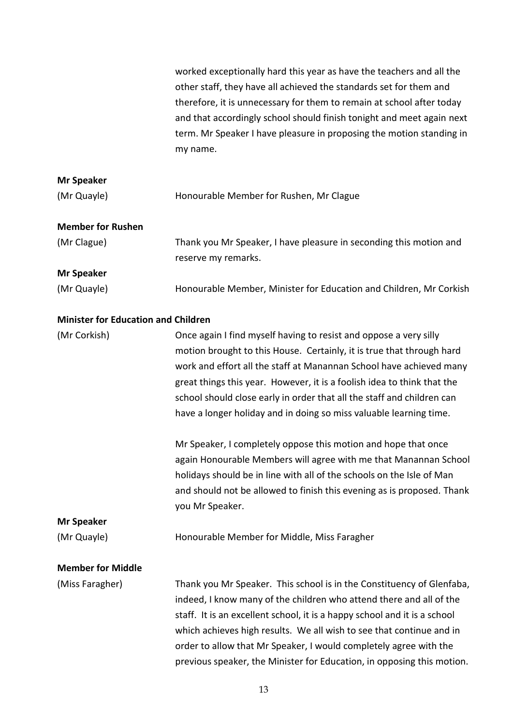|                                            | worked exceptionally hard this year as have the teachers and all the<br>other staff, they have all achieved the standards set for them and<br>therefore, it is unnecessary for them to remain at school after today<br>and that accordingly school should finish tonight and meet again next<br>term. Mr Speaker I have pleasure in proposing the motion standing in<br>my name.                                                                 |
|--------------------------------------------|--------------------------------------------------------------------------------------------------------------------------------------------------------------------------------------------------------------------------------------------------------------------------------------------------------------------------------------------------------------------------------------------------------------------------------------------------|
| <b>Mr Speaker</b>                          |                                                                                                                                                                                                                                                                                                                                                                                                                                                  |
| (Mr Quayle)                                | Honourable Member for Rushen, Mr Clague                                                                                                                                                                                                                                                                                                                                                                                                          |
| <b>Member for Rushen</b>                   |                                                                                                                                                                                                                                                                                                                                                                                                                                                  |
| (Mr Clague)                                | Thank you Mr Speaker, I have pleasure in seconding this motion and<br>reserve my remarks.                                                                                                                                                                                                                                                                                                                                                        |
| <b>Mr Speaker</b>                          |                                                                                                                                                                                                                                                                                                                                                                                                                                                  |
| (Mr Quayle)                                | Honourable Member, Minister for Education and Children, Mr Corkish                                                                                                                                                                                                                                                                                                                                                                               |
| <b>Minister for Education and Children</b> |                                                                                                                                                                                                                                                                                                                                                                                                                                                  |
| (Mr Corkish)                               | Once again I find myself having to resist and oppose a very silly<br>motion brought to this House. Certainly, it is true that through hard<br>work and effort all the staff at Manannan School have achieved many<br>great things this year. However, it is a foolish idea to think that the<br>school should close early in order that all the staff and children can<br>have a longer holiday and in doing so miss valuable learning time.     |
|                                            | Mr Speaker, I completely oppose this motion and hope that once<br>again Honourable Members will agree with me that Manannan School<br>holidays should be in line with all of the schools on the Isle of Man<br>and should not be allowed to finish this evening as is proposed. Thank<br>you Mr Speaker.                                                                                                                                         |
| <b>Mr Speaker</b>                          |                                                                                                                                                                                                                                                                                                                                                                                                                                                  |
| (Mr Quayle)                                | Honourable Member for Middle, Miss Faragher                                                                                                                                                                                                                                                                                                                                                                                                      |
| <b>Member for Middle</b>                   |                                                                                                                                                                                                                                                                                                                                                                                                                                                  |
| (Miss Faragher)                            | Thank you Mr Speaker. This school is in the Constituency of Glenfaba,<br>indeed, I know many of the children who attend there and all of the<br>staff. It is an excellent school, it is a happy school and it is a school<br>which achieves high results. We all wish to see that continue and in<br>order to allow that Mr Speaker, I would completely agree with the<br>previous speaker, the Minister for Education, in opposing this motion. |